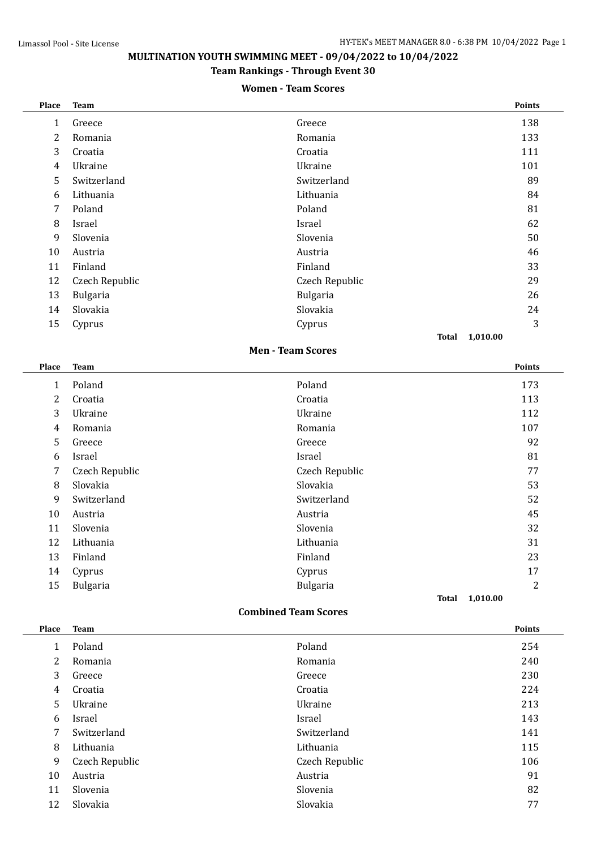# **MULTINATION YOUTH SWIMMING MEET - 09/04/2022 to 10/04/2022**

### **Team Rankings - Through Event 30**

#### **Women - Team Scores**

| <b>Place</b>                | <b>Team</b>    |                          |       | Points         |  |  |
|-----------------------------|----------------|--------------------------|-------|----------------|--|--|
| $\mathbf{1}$                | Greece         | Greece                   |       | 138            |  |  |
| 2                           | Romania        | Romania                  |       | 133            |  |  |
| 3                           | Croatia        | Croatia                  |       | 111            |  |  |
| 4                           | Ukraine        | Ukraine                  |       | 101            |  |  |
| 5                           | Switzerland    | Switzerland              |       | 89             |  |  |
| 6                           | Lithuania      | Lithuania                |       | 84             |  |  |
| 7                           | Poland         | Poland                   |       | 81             |  |  |
| 8                           | Israel         | Israel                   |       | 62             |  |  |
| 9                           | Slovenia       | Slovenia                 |       | 50             |  |  |
| 10                          | Austria        | Austria                  |       | 46             |  |  |
| 11                          | Finland        | Finland                  |       | 33             |  |  |
| 12                          | Czech Republic | Czech Republic           |       | 29             |  |  |
| 13                          | Bulgaria       | Bulgaria                 |       | 26             |  |  |
| 14                          | Slovakia       | Slovakia                 |       | 24             |  |  |
| 15                          | Cyprus         | Cyprus                   |       | 3              |  |  |
|                             |                |                          |       | Total 1,010.00 |  |  |
|                             |                | <b>Men - Team Scores</b> |       |                |  |  |
| Place                       | <b>Team</b>    |                          |       | Points         |  |  |
| $\mathbf{1}$                | Poland         | Poland                   |       | 173            |  |  |
| 2                           | Croatia        | Croatia                  |       | 113            |  |  |
| 3                           | Ukraine        | Ukraine                  |       | 112            |  |  |
| 4                           | Romania        | Romania                  |       | 107            |  |  |
| 5                           | Greece         | Greece                   |       | 92             |  |  |
| 6                           | Israel         | Israel                   |       | 81             |  |  |
| 7                           | Czech Republic | Czech Republic           |       | 77             |  |  |
| 8                           | Slovakia       | Slovakia                 |       | 53             |  |  |
| 9                           | Switzerland    | Switzerland              |       | 52             |  |  |
| 10                          | Austria        | Austria                  |       | 45             |  |  |
| 11                          | Slovenia       | Slovenia                 |       | 32             |  |  |
| 12                          | Lithuania      | Lithuania                |       | 31             |  |  |
| 13                          | Finland        | Finland                  |       | 23             |  |  |
| 14                          | Cyprus         | Cyprus                   |       | 17             |  |  |
| 15                          | Bulgaria       | <b>Bulgaria</b>          |       | $\overline{2}$ |  |  |
|                             |                |                          | Total | 1,010.00       |  |  |
| <b>Combined Team Scores</b> |                |                          |       |                |  |  |
| Place                       | <b>Team</b>    |                          |       | Points         |  |  |
| $\mathbf{1}$                | Poland         | Poland                   |       | 254            |  |  |
| 2                           | Romania        | Romania                  |       | 240            |  |  |
| 3                           | Greece         | Greece                   |       | 230            |  |  |
| 4                           | Croatia        | Croatia                  |       | 224            |  |  |
| 5                           | Ukraine        | Ukraine                  |       | 213            |  |  |
| 6                           | Israel         | Israel                   |       | 143            |  |  |
| 7                           | Switzerland    | Switzerland              |       | 141            |  |  |
| 8                           | Lithuania      | Lithuania                |       | 115            |  |  |
| 9                           | Czech Republic | Czech Republic           |       | 106            |  |  |
| 10                          | Austria        | Austria                  |       | 91             |  |  |
| 11                          | Slovenia       | Slovenia                 |       | 82             |  |  |
|                             |                |                          |       |                |  |  |

Slovakia Slovakia 77